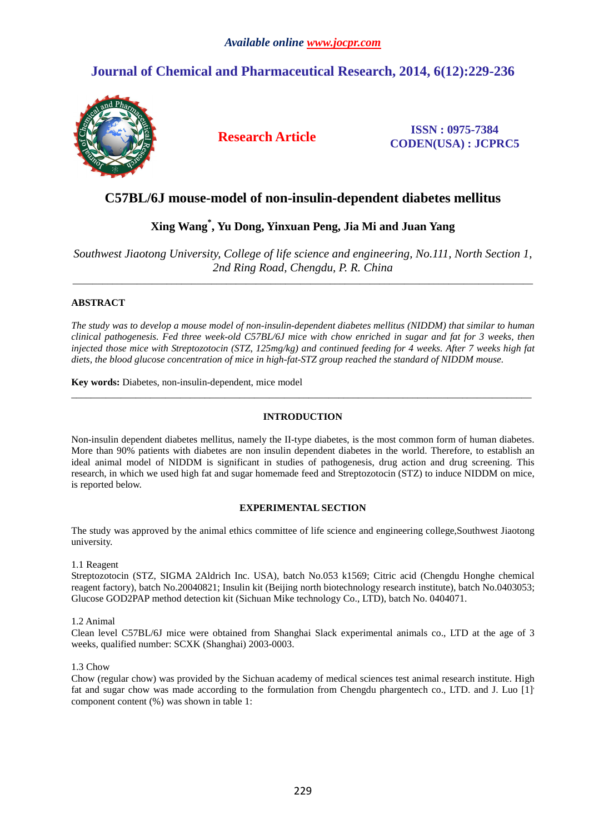# **Journal of Chemical and Pharmaceutical Research, 2014, 6(12):229-236**



**Research Article ISSN : 0975-7384 CODEN(USA) : JCPRC5**

## **C57BL/6J mouse-model of non-insulin-dependent diabetes mellitus**

## **Xing Wang\* , Yu Dong, Yinxuan Peng, Jia Mi and Juan Yang**

*Southwest Jiaotong University, College of life science and engineering, No.111, North Section 1, 2nd Ring Road, Chengdu, P. R. China* 

\_\_\_\_\_\_\_\_\_\_\_\_\_\_\_\_\_\_\_\_\_\_\_\_\_\_\_\_\_\_\_\_\_\_\_\_\_\_\_\_\_\_\_\_\_\_\_\_\_\_\_\_\_\_\_\_\_\_\_\_\_\_\_\_\_\_\_\_\_\_\_\_\_\_\_\_\_\_\_\_\_\_\_\_\_\_\_\_\_\_\_\_\_

## **ABSTRACT**

*The study was to develop a mouse model of non-insulin-dependent diabetes mellitus (NIDDM) that similar to human clinical pathogenesis. Fed three week-old C57BL/6J mice with chow enriched in sugar and fat for 3 weeks, then injected those mice with Streptozotocin (STZ, 125mg/kg) and continued feeding for 4 weeks. After 7 weeks high fat diets, the blood glucose concentration of mice in high-fat-STZ group reached the standard of NIDDM mouse.* 

**Key words:** Diabetes, non-insulin-dependent, mice model

### **INTRODUCTION**

\_\_\_\_\_\_\_\_\_\_\_\_\_\_\_\_\_\_\_\_\_\_\_\_\_\_\_\_\_\_\_\_\_\_\_\_\_\_\_\_\_\_\_\_\_\_\_\_\_\_\_\_\_\_\_\_\_\_\_\_\_\_\_\_\_\_\_\_\_\_\_\_\_\_\_\_\_\_\_\_\_\_\_\_\_\_\_\_\_\_\_\_\_

Non-insulin dependent diabetes mellitus, namely the II-type diabetes, is the most common form of human diabetes. More than 90% patients with diabetes are non insulin dependent diabetes in the world. Therefore, to establish an ideal animal model of NIDDM is significant in studies of pathogenesis, drug action and drug screening. This research, in which we used high fat and sugar homemade feed and Streptozotocin (STZ) to induce NIDDM on mice, is reported below.

## **EXPERIMENTAL SECTION**

The study was approved by the animal ethics committee of life science and engineering college,Southwest Jiaotong university.

## 1.1 Reagent

Streptozotocin (STZ, SIGMA 2Aldrich Inc. USA), batch No.053 k1569; Citric acid (Chengdu Honghe chemical reagent factory), batch No.20040821; Insulin kit (Beijing north biotechnology research institute), batch No.0403053; Glucose GOD2PAP method detection kit (Sichuan Mike technology Co., LTD), batch No. 0404071.

## 1.2 Animal

Clean level C57BL/6J mice were obtained from Shanghai Slack experimental animals co., LTD at the age of 3 weeks, qualified number: SCXK (Shanghai) 2003-0003.

#### 1.3 Chow

Chow (regular chow) was provided by the Sichuan academy of medical sciences test animal research institute. High fat and sugar chow was made according to the formulation from Chengdu phargentech co., LTD. and J. Luo [1]. component content (%) was shown in table 1: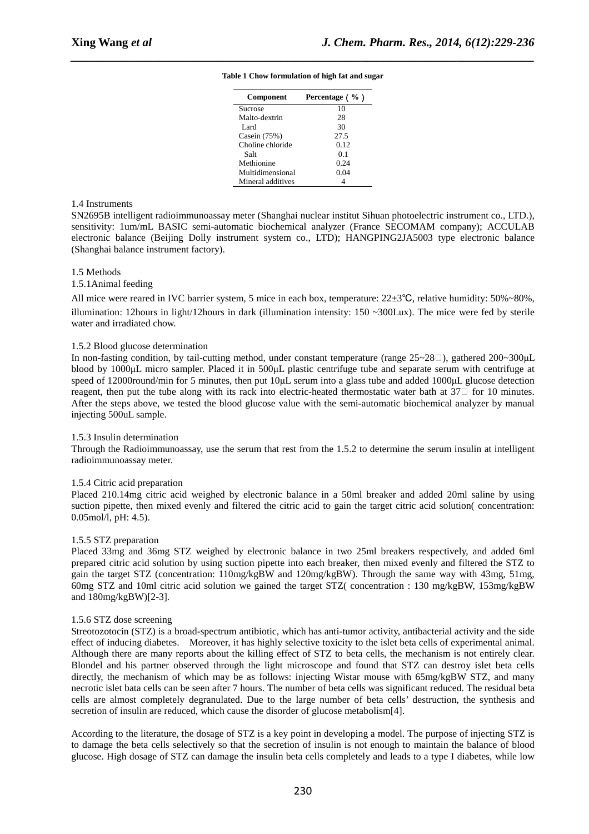| <b>Component</b>  | Percentage $( %)$ |
|-------------------|-------------------|
| Sucrose           | 10                |
| Malto-dextrin     | 28                |
| Lard              | 30                |
| Casein (75%)      | 27.5              |
| Choline chloride  | 0.12              |
| Salt              | 0.1               |
| Methionine        | 0.24              |
| Multidimensional  | 0.04              |
| Mineral additives |                   |

## *\_\_\_\_\_\_\_\_\_\_\_\_\_\_\_\_\_\_\_\_\_\_\_\_\_\_\_\_\_\_\_\_\_\_\_\_\_\_\_\_\_\_\_\_\_\_\_\_\_\_\_\_\_\_\_\_\_\_\_\_\_\_\_\_\_\_\_\_\_\_\_\_\_\_\_\_\_\_* **Table 1 Chow formulation of high fat and sugar**

#### 1.4 Instruments

SN2695B intelligent radioimmunoassay meter (Shanghai nuclear institut Sihuan photoelectric instrument co., LTD.), sensitivity: 1um/mL BASIC semi-automatic biochemical analyzer (France SECOMAM company); ACCULAB electronic balance (Beijing Dolly instrument system co., LTD); HANGPING2JA5003 type electronic balance (Shanghai balance instrument factory).

#### 1.5 Methods

#### 1.5.1Animal feeding

All mice were reared in IVC barrier system, 5 mice in each box, temperature: 22±3℃, relative humidity: 50%~80%, illumination: 12hours in light/12hours in dark (illumination intensity:  $150 \sim 300$ Lux). The mice were fed by sterile water and irradiated chow.

#### 1.5.2 Blood glucose determination

In non-fasting condition, by tail-cutting method, under constant temperature (range  $25 \sim 28$ ), gathered  $200 \sim 300 \mu L$ blood by 1000µL micro sampler. Placed it in 500µL plastic centrifuge tube and separate serum with centrifuge at speed of 12000round/min for 5 minutes, then put 10µL serum into a glass tube and added 1000µL glucose detection reagent, then put the tube along with its rack into electric-heated thermostatic water bath at  $37\Box$  for 10 minutes. After the steps above, we tested the blood glucose value with the semi-automatic biochemical analyzer by manual injecting 500uL sample.

#### 1.5.3 Insulin determination

Through the Radioimmunoassay, use the serum that rest from the 1.5.2 to determine the serum insulin at intelligent radioimmunoassay meter.

#### 1.5.4 Citric acid preparation

Placed 210.14mg citric acid weighed by electronic balance in a 50ml breaker and added 20ml saline by using suction pipette, then mixed evenly and filtered the citric acid to gain the target citric acid solution( concentration: 0.05mol/l, pH: 4.5).

#### 1.5.5 STZ preparation

Placed 33mg and 36mg STZ weighed by electronic balance in two 25ml breakers respectively, and added 6ml prepared citric acid solution by using suction pipette into each breaker, then mixed evenly and filtered the STZ to gain the target STZ (concentration: 110mg/kgBW and 120mg/kgBW). Through the same way with 43mg, 51mg, 60mg STZ and 10ml citric acid solution we gained the target STZ( concentration : 130 mg/kgBW, 153mg/kgBW and 180mg/kgBW)[2-3].

#### 1.5.6 STZ dose screening

Streotozotocin (STZ) is a broad-spectrum antibiotic, which has anti-tumor activity, antibacterial activity and the side effect of inducing diabetes. Moreover, it has highly selective toxicity to the islet beta cells of experimental animal. Although there are many reports about the killing effect of STZ to beta cells, the mechanism is not entirely clear. Blondel and his partner observed through the light microscope and found that STZ can destroy islet beta cells directly, the mechanism of which may be as follows: injecting Wistar mouse with 65mg/kgBW STZ, and many necrotic islet bata cells can be seen after 7 hours. The number of beta cells was significant reduced. The residual beta cells are almost completely degranulated. Due to the large number of beta cells' destruction, the synthesis and secretion of insulin are reduced, which cause the disorder of glucose metabolism[4].

According to the literature, the dosage of STZ is a key point in developing a model. The purpose of injecting STZ is to damage the beta cells selectively so that the secretion of insulin is not enough to maintain the balance of blood glucose. High dosage of STZ can damage the insulin beta cells completely and leads to a type I diabetes, while low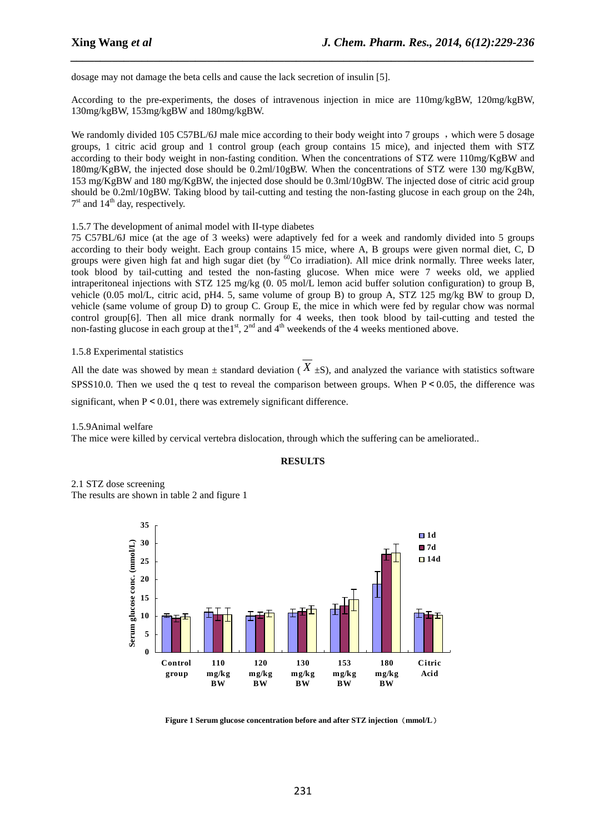dosage may not damage the beta cells and cause the lack secretion of insulin [5].

According to the pre-experiments, the doses of intravenous injection in mice are 110mg/kgBW, 120mg/kgBW, 130mg/kgBW, 153mg/kgBW and 180mg/kgBW.

*\_\_\_\_\_\_\_\_\_\_\_\_\_\_\_\_\_\_\_\_\_\_\_\_\_\_\_\_\_\_\_\_\_\_\_\_\_\_\_\_\_\_\_\_\_\_\_\_\_\_\_\_\_\_\_\_\_\_\_\_\_\_\_\_\_\_\_\_\_\_\_\_\_\_\_\_\_\_*

We randomly divided 105 C57BL/6J male mice according to their body weight into 7 groups, which were 5 dosage groups, 1 citric acid group and 1 control group (each group contains 15 mice), and injected them with STZ according to their body weight in non-fasting condition. When the concentrations of STZ were 110mg/KgBW and 180mg/KgBW, the injected dose should be 0.2ml/10gBW. When the concentrations of STZ were 130 mg/KgBW, 153 mg/KgBW and 180 mg/KgBW, the injected dose should be 0.3ml/10gBW. The injected dose of citric acid group should be 0.2ml/10gBW. Taking blood by tail-cutting and testing the non-fasting glucose in each group on the 24h, 7<sup>st</sup> and 14<sup>th</sup> day, respectively.

#### 1.5.7 The development of animal model with II-type diabetes

75 C57BL/6J mice (at the age of 3 weeks) were adaptively fed for a week and randomly divided into 5 groups according to their body weight. Each group contains 15 mice, where A, B groups were given normal diet, C, D groups were given high fat and high sugar diet (by  ${}^{60}$ Co irradiation). All mice drink normally. Three weeks later, took blood by tail-cutting and tested the non-fasting glucose. When mice were 7 weeks old, we applied intraperitoneal injections with STZ 125 mg/kg (0. 05 mol/L lemon acid buffer solution configuration) to group B, vehicle (0.05 mol/L, citric acid, pH4. 5, same volume of group B) to group A, STZ 125 mg/kg BW to group D, vehicle (same volume of group D) to group C. Group E, the mice in which were fed by regular chow was normal control group[6]. Then all mice drank normally for 4 weeks, then took blood by tail-cutting and tested the non-fasting glucose in each group at the  $1<sup>st</sup>$ ,  $2<sup>nd</sup>$  and  $4<sup>th</sup>$  weekends of the 4 weeks mentioned above.

#### 1.5.8 Experimental statistics

All the date was showed by mean  $\pm$  standard deviation ( $X \pm S$ ), and analyzed the variance with statistics software SPSS10.0. Then we used the q test to reveal the comparison between groups. When  $P < 0.05$ , the difference was significant, when  $P \le 0.01$ , there was extremely significant difference.

1.5.9Animal welfare

The mice were killed by cervical vertebra dislocation, through which the suffering can be ameliorated..

#### **RESULTS**

2.1 STZ dose screening The results are shown in table 2 and figure 1



**Figure 1 Serum glucose concentration before and after STZ injection**(**mmol/L**)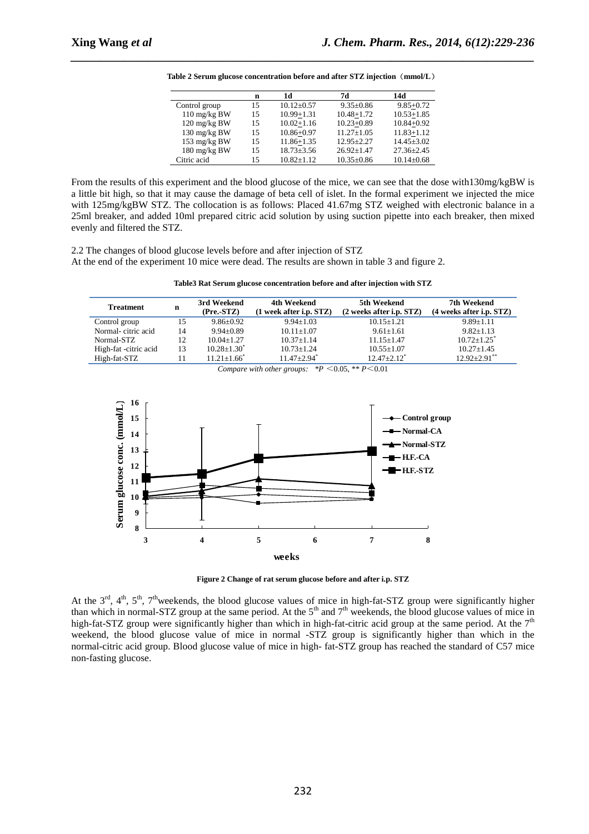|               | n  | 1d               | 7d             | 14d              |
|---------------|----|------------------|----------------|------------------|
| Control group | 15 | $10.12 + 0.57$   | $9.35 + 0.86$  | $9.85 + 0.72$    |
| 110 mg/kg BW  | 15 | $10.99 + 1.31$   | $10.48 + 1.72$ | $10.53 + 1.85$   |
| 120 mg/kg BW  | 15 | $10.02 + 1.16$   | $10.23 + 0.89$ | $10.84 + 0.92$   |
| 130 mg/kg BW  | 15 | $10.86 + 0.97$   | $11.27 + 1.05$ | $11.83 + 1.12$   |
| 153 mg/kg BW  | 15 | $11.86 + 1.35$   | $12.95 + 2.27$ | $14.45 \pm 3.02$ |
| 180 mg/kg BW  | 15 | $18.73 \pm 3.56$ | $26.92 + 1.47$ | $27.36 \pm 2.45$ |
| Citric acid   | 15 | $10.82 + 1.12$   | $10.35 + 0.86$ | $10.14 + 0.68$   |

**Table 2 Serum glucose concentration before and after STZ injection**(**mmol/L**)

*\_\_\_\_\_\_\_\_\_\_\_\_\_\_\_\_\_\_\_\_\_\_\_\_\_\_\_\_\_\_\_\_\_\_\_\_\_\_\_\_\_\_\_\_\_\_\_\_\_\_\_\_\_\_\_\_\_\_\_\_\_\_\_\_\_\_\_\_\_\_\_\_\_\_\_\_\_\_*

From the results of this experiment and the blood glucose of the mice, we can see that the dose with130mg/kgBW is a little bit high, so that it may cause the damage of beta cell of islet. In the formal experiment we injected the mice with 125mg/kgBW STZ. The collocation is as follows: Placed 41.67mg STZ weighed with electronic balance in a 25ml breaker, and added 10ml prepared citric acid solution by using suction pipette into each breaker, then mixed evenly and filtered the STZ.

2.2 The changes of blood glucose levels before and after injection of STZ At the end of the experiment 10 mice were dead. The results are shown in table 3 and figure 2.

|  | Table3 Rat Serum glucose concentration before and after injection with STZ |  |  |
|--|----------------------------------------------------------------------------|--|--|
|  |                                                                            |  |  |

| <b>Treatment</b>      | n  | 3rd Weekend<br>(Pre. STZ) | 4th Weekend<br>$(1$ week after i.p. $STZ$ ) | 5th Weekend<br>$(2$ weeks after i.p. $STZ$ ) | 7th Weekend<br>$(4$ weeks after i.p. $STZ$ ) |
|-----------------------|----|---------------------------|---------------------------------------------|----------------------------------------------|----------------------------------------------|
| Control group         | 15 | $9.86 + 0.92$             | $9.94 + 1.03$                               | $10.15 + 1.21$                               | $9.89 + 1.11$                                |
| Normal-citric acid    | 14 | $9.94 + 0.89$             | $10.11 + 1.07$                              | $9.61 \pm 1.61$                              | $9.82 + 1.13$                                |
| Normal-STZ            | 12 | $10.04 + 1.27$            | $10.37 + 1.14$                              | $11.15 + 1.47$                               | $10.72 + 1.25$ <sup>*</sup>                  |
| High-fat -citric acid | 13 | $10.28 \pm 1.30^*$        | $10.73 + 1.24$                              | $10.55 \pm 1.07$                             | $10.27 + 1.45$                               |
| High-fat-STZ          | 11 | $11.21 + 1.66^*$          | $11.47 + 2.94$ <sup>*</sup>                 | $12.47 + 2.12$ <sup>*</sup>                  | $12.92 + 2.91$ **                            |

*Compare with other groups:*  $*P < 0.05$ ,  $*P < 0.01$ 



**Figure 2 Change of rat serum glucose before and after i.p. STZ**

At the 3<sup>rd</sup>, 4<sup>th</sup>, 5<sup>th</sup>, 7<sup>th</sup>weekends, the blood glucose values of mice in high-fat-STZ group were significantly higher than which in normal-STZ group at the same period. At the  $5<sup>th</sup>$  and  $7<sup>th</sup>$  weekends, the blood glucose values of mice in high-fat-STZ group were significantly higher than which in high-fat-citric acid group at the same period. At the 7<sup>th</sup> weekend, the blood glucose value of mice in normal -STZ group is significantly higher than which in the normal-citric acid group. Blood glucose value of mice in high- fat-STZ group has reached the standard of C57 mice non-fasting glucose.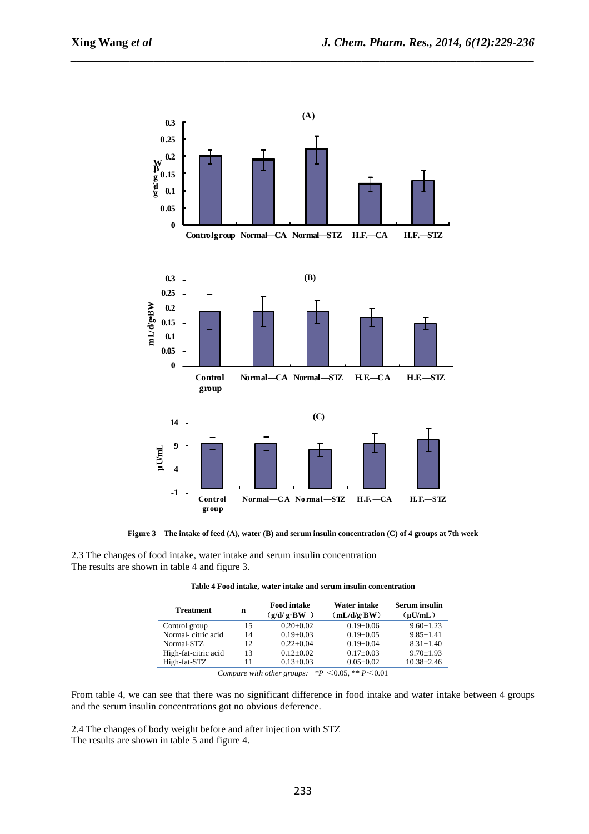

*\_\_\_\_\_\_\_\_\_\_\_\_\_\_\_\_\_\_\_\_\_\_\_\_\_\_\_\_\_\_\_\_\_\_\_\_\_\_\_\_\_\_\_\_\_\_\_\_\_\_\_\_\_\_\_\_\_\_\_\_\_\_\_\_\_\_\_\_\_\_\_\_\_\_\_\_\_\_*

**Figure 3 The intake of feed (A), water (B) and serum insulin concentration (C) of 4 groups at 7th week** 

2.3 The changes of food intake, water intake and serum insulin concentration The results are shown in table 4 and figure 3.

| <b>Treatment</b> | <b>Food intake</b><br>$(g/d/g \cdot BW)$ | Water intake<br>(mL/d/g·BW) | Serum insulin<br>(uU/mL) |
|------------------|------------------------------------------|-----------------------------|--------------------------|
|                  |                                          |                             |                          |

**Table 4 Food intake, water intake and serum insulin concentration** 

| <b>Treatment</b>     | n  | гооа шаке<br>(g/d/g·BW)                                                                                                                                                                                                            | мајег шаке<br>(mL/d/g·BW)                                                                    | эсгиш шушш<br>$(\mu U/mL)$ |
|----------------------|----|------------------------------------------------------------------------------------------------------------------------------------------------------------------------------------------------------------------------------------|----------------------------------------------------------------------------------------------|----------------------------|
| Control group        | 15 | $0.20 \pm 0.02$                                                                                                                                                                                                                    | $0.19 \pm 0.06$                                                                              | $9.60 \pm 1.23$            |
| Normal-citric acid   | 14 | $0.19 \pm 0.03$                                                                                                                                                                                                                    | $0.19 \pm 0.05$                                                                              | $9.85 \pm 1.41$            |
| Normal-STZ           | 12 | $0.22 + 0.04$                                                                                                                                                                                                                      | $0.19 \pm 0.04$                                                                              | $8.31 \pm 1.40$            |
| High-fat-citric acid | 13 | $0.12 + 0.02$                                                                                                                                                                                                                      | $0.17 \pm 0.03$                                                                              | $9.70 \pm 1.93$            |
| High-fat-STZ         |    | $0.13 \pm 0.03$                                                                                                                                                                                                                    | $0.05 \pm 0.02$                                                                              | $10.38 \pm 2.46$           |
| $\sim$               |    | $\bullet$ . The contract of the contract of the contract of the contract of the contract of the contract of the contract of the contract of the contract of the contract of the contract of the contract of the contract of the co | $ab \nightharpoonup b \neq 0$<br>$\mathbf{a} \cdot \mathbf{n}$ $\mathbf{a} \cdot \mathbf{n}$ |                            |

*Compare with other groups:*  $*P < 0.05$ ,  $*P < 0.01$ 

From table 4, we can see that there was no significant difference in food intake and water intake between 4 groups and the serum insulin concentrations got no obvious deference.

2.4 The changes of body weight before and after injection with STZ The results are shown in table 5 and figure 4.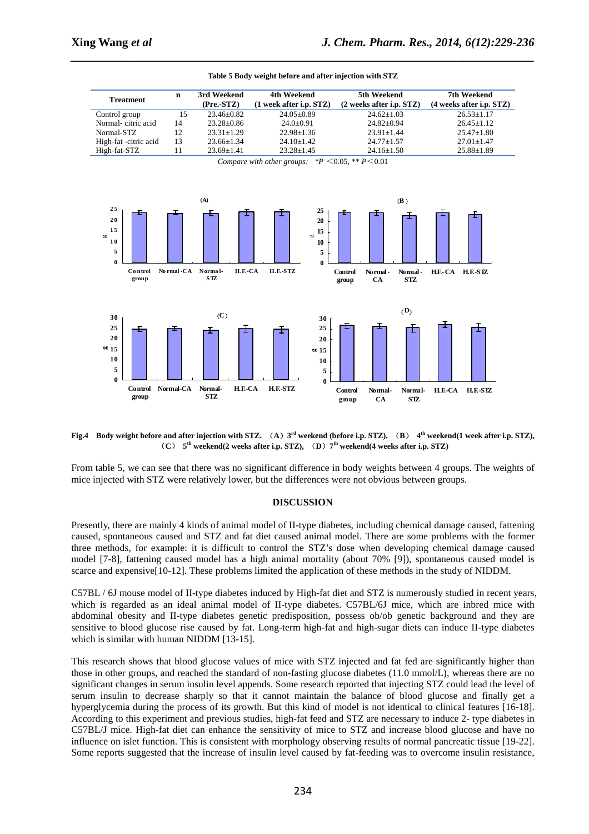

*\_\_\_\_\_\_\_\_\_\_\_\_\_\_\_\_\_\_\_\_\_\_\_\_\_\_\_\_\_\_\_\_\_\_\_\_\_\_\_\_\_\_\_\_\_\_\_\_\_\_\_\_\_\_\_\_\_\_\_\_\_\_\_\_\_\_\_\_\_\_\_\_\_\_\_\_\_\_* **Table 5 Body weight before and after injection with STZ** 

**Fig.4 Body weight before and after injection with STZ.** (**A**)**3 rd weekend (before i.p. STZ),** (**B**) **4th weekend(1 week after i.p. STZ),**  (**C**) **5th weekend(2 weeks after i.p. STZ),** (**D**)**7 th weekend(4 weeks after i.p. STZ)** 

From table 5, we can see that there was no significant difference in body weights between 4 groups. The weights of mice injected with STZ were relatively lower, but the differences were not obvious between groups.

#### **DISCUSSION**

Presently, there are mainly 4 kinds of animal model of II-type diabetes, including chemical damage caused, fattening caused, spontaneous caused and STZ and fat diet caused animal model. There are some problems with the former three methods, for example: it is difficult to control the STZ's dose when developing chemical damage caused model [7-8], fattening caused model has a high animal mortality (about 70% [9]), spontaneous caused model is scarce and expensive[10-12]. These problems limited the application of these methods in the study of NIDDM.

C57BL / 6J mouse model of II-type diabetes induced by High-fat diet and STZ is numerously studied in recent years, which is regarded as an ideal animal model of II-type diabetes. C57BL/6J mice, which are inbred mice with abdominal obesity and II-type diabetes genetic predisposition, possess ob/ob genetic background and they are sensitive to blood glucose rise caused by fat. Long-term high-fat and high-sugar diets can induce II-type diabetes which is similar with human NIDDM [13-15].

This research shows that blood glucose values of mice with STZ injected and fat fed are significantly higher than those in other groups, and reached the standard of non-fasting glucose diabetes (11.0 mmol/L), whereas there are no significant changes in serum insulin level appends. Some research reported that injecting STZ could lead the level of serum insulin to decrease sharply so that it cannot maintain the balance of blood glucose and finally get a hyperglycemia during the process of its growth. But this kind of model is not identical to clinical features [16-18]. According to this experiment and previous studies, high-fat feed and STZ are necessary to induce 2- type diabetes in C57BL/J mice. High-fat diet can enhance the sensitivity of mice to STZ and increase blood glucose and have no influence on islet function. This is consistent with morphology observing results of normal pancreatic tissue [19-22]. Some reports suggested that the increase of insulin level caused by fat-feeding was to overcome insulin resistance,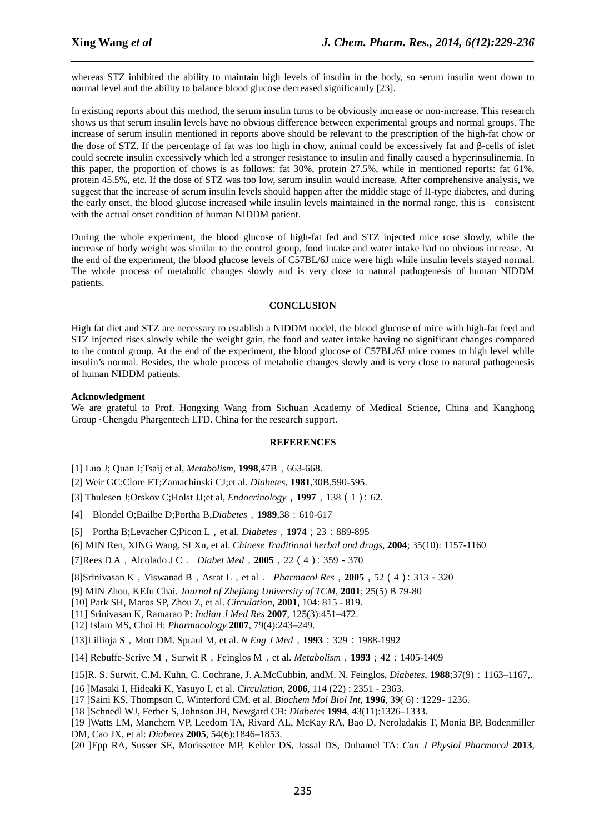whereas STZ inhibited the ability to maintain high levels of insulin in the body, so serum insulin went down to normal level and the ability to balance blood glucose decreased significantly [23].

*\_\_\_\_\_\_\_\_\_\_\_\_\_\_\_\_\_\_\_\_\_\_\_\_\_\_\_\_\_\_\_\_\_\_\_\_\_\_\_\_\_\_\_\_\_\_\_\_\_\_\_\_\_\_\_\_\_\_\_\_\_\_\_\_\_\_\_\_\_\_\_\_\_\_\_\_\_\_*

In existing reports about this method, the serum insulin turns to be obviously increase or non-increase. This research shows us that serum insulin levels have no obvious difference between experimental groups and normal groups. The increase of serum insulin mentioned in reports above should be relevant to the prescription of the high-fat chow or the dose of STZ. If the percentage of fat was too high in chow, animal could be excessively fat and β-cells of islet could secrete insulin excessively which led a stronger resistance to insulin and finally caused a hyperinsulinemia. In this paper, the proportion of chows is as follows: fat 30%, protein 27.5%, while in mentioned reports: fat 61%, protein 45.5%, etc. If the dose of STZ was too low, serum insulin would increase. After comprehensive analysis, we suggest that the increase of serum insulin levels should happen after the middle stage of II-type diabetes, and during the early onset, the blood glucose increased while insulin levels maintained in the normal range, this is consistent with the actual onset condition of human NIDDM patient.

During the whole experiment, the blood glucose of high-fat fed and STZ injected mice rose slowly, while the increase of body weight was similar to the control group, food intake and water intake had no obvious increase. At the end of the experiment, the blood glucose levels of C57BL/6J mice were high while insulin levels stayed normal. The whole process of metabolic changes slowly and is very close to natural pathogenesis of human NIDDM patients.

#### **CONCLUSION**

High fat diet and STZ are necessary to establish a NIDDM model, the blood glucose of mice with high-fat feed and STZ injected rises slowly while the weight gain, the food and water intake having no significant changes compared to the control group. At the end of the experiment, the blood glucose of C57BL/6J mice comes to high level while insulin's normal. Besides, the whole process of metabolic changes slowly and is very close to natural pathogenesis of human NIDDM patients.

#### **Acknowledgment**

We are grateful to Prof. Hongxing Wang from Sichuan Academy of Medical Science, China and Kanghong Group ·Chengdu Phargentech LTD. China for the research support.

#### **REFERENCES**

[1] Luo J; Quan J; Tsaij et al, *Metabolism*, **1998**, 47B, 663-668.

[2] Weir GC;Clore ET;Zamachinski CJ;et al. *Diabetes*, **1981**,30B,590-595.

[3] Thulesen J;Orskov C;Holst JJ;et al, *Endocrinology*,**1997**,138(1):62.

[4] Blondel O;Bailbe D;Portha B,*Diabetes*,**1989**,38:610-617

[5] Portha B;Levacher C;Picon L,et al. *Diabetes*,**1974**;23:889-895

[6] MIN Ren, XING Wang, SI Xu, et al. *Chinese Traditional herbal and drugs*, **2004**; 35(10): 1157-1160

[7]Rees D A,Alcolado J C. *Diabet Med*,**2005**,22(4):359-370

[8]Srinivasan K,Viswanad B,Asrat L,et al. *Pharmacol Res*,**2005**,52(4):313-320

[9] MIN Zhou, KEfu Chai. *Journal of Zhejiang University of TCM*, **2001**; 25(5) B 79-80

[10] Park SH, Maros SP, Zhou Z, et al. *Circulation*, **2001**, 104: 815 - 819.

[11] Srinivasan K, Ramarao P: *Indian J Med Res* **2007**, 125(3):451–472.

[12] Islam MS, Choi H: *Pharmacology* **2007**, 79(4):243–249.

[13]Lillioja S, Mott DM. Spraul M, et al. *N Eng J Med*, 1993; 329:1988-1992

[14] Rebuffe-Scrive M,Surwit R,Feinglos M,et al. *Metabolism*,**1993**;42:1405-1409

[15]R. S. Surwit, C.M. Kuhn, C. Cochrane, J. A.McCubbin, andM. N. Feinglos, *Diabetes*, **1988**;37(9):1163–1167,.

[16 ]Masaki I, Hideaki K, Yasuyo I, et al. *Circulation*, **2006**, 114 (22) : 2351 - 2363.

[17 ]Saini KS, Thompson C, Winterford CM, et al. *Biochem Mol Biol Int*, **1996**, 39( 6) : 1229- 1236.

[18 ]Schnedl WJ, Ferber S, Johnson JH, Newgard CB: *Diabetes* **1994**, 43(11):1326–1333.

[19 ]Watts LM, Manchem VP, Leedom TA, Rivard AL, McKay RA, Bao D, Neroladakis T, Monia BP, Bodenmiller DM, Cao JX, et al: *Diabetes* **2005**, 54(6):1846–1853.

[20 ]Epp RA, Susser SE, Morissettee MP, Kehler DS, Jassal DS, Duhamel TA: *Can J Physiol Pharmacol* **2013**,